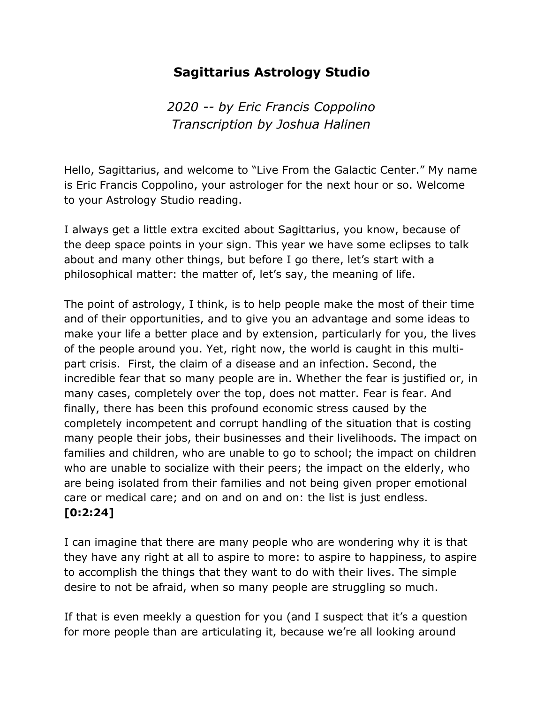## Sagittarius Astrology Studio

2020 -- by Eric Francis Coppolino Transcription by Joshua Halinen

Hello, Sagittarius, and welcome to "Live From the Galactic Center." My name is Eric Francis Coppolino, your astrologer for the next hour or so. Welcome to your Astrology Studio reading.

I always get a little extra excited about Sagittarius, you know, because of the deep space points in your sign. This year we have some eclipses to talk about and many other things, but before I go there, let's start with a philosophical matter: the matter of, let's say, the meaning of life.

The point of astrology, I think, is to help people make the most of their time and of their opportunities, and to give you an advantage and some ideas to make your life a better place and by extension, particularly for you, the lives of the people around you. Yet, right now, the world is caught in this multipart crisis. First, the claim of a disease and an infection. Second, the incredible fear that so many people are in. Whether the fear is justified or, in many cases, completely over the top, does not matter. Fear is fear. And finally, there has been this profound economic stress caused by the completely incompetent and corrupt handling of the situation that is costing many people their jobs, their businesses and their livelihoods. The impact on families and children, who are unable to go to school; the impact on children who are unable to socialize with their peers; the impact on the elderly, who are being isolated from their families and not being given proper emotional care or medical care; and on and on and on: the list is just endless. [0:2:24]

I can imagine that there are many people who are wondering why it is that they have any right at all to aspire to more: to aspire to happiness, to aspire to accomplish the things that they want to do with their lives. The simple desire to not be afraid, when so many people are struggling so much.

If that is even meekly a question for you (and I suspect that it's a question for more people than are articulating it, because we're all looking around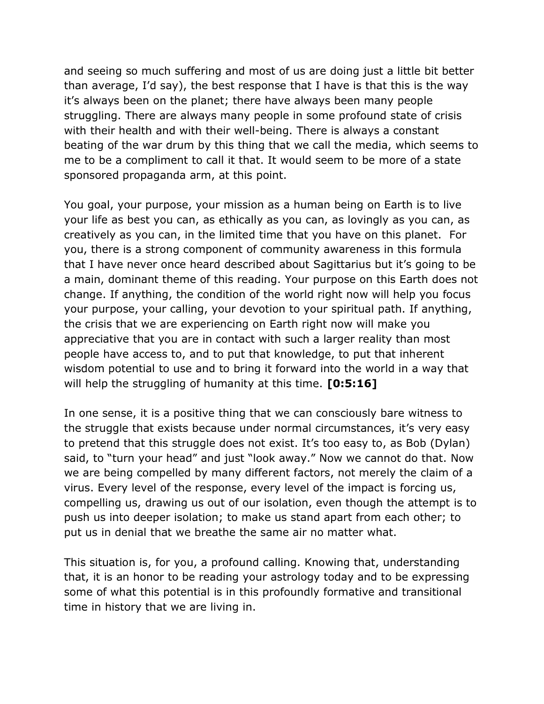and seeing so much suffering and most of us are doing just a little bit better than average, I'd say), the best response that I have is that this is the way it's always been on the planet; there have always been many people struggling. There are always many people in some profound state of crisis with their health and with their well-being. There is always a constant beating of the war drum by this thing that we call the media, which seems to me to be a compliment to call it that. It would seem to be more of a state sponsored propaganda arm, at this point.

You goal, your purpose, your mission as a human being on Earth is to live your life as best you can, as ethically as you can, as lovingly as you can, as creatively as you can, in the limited time that you have on this planet. For you, there is a strong component of community awareness in this formula that I have never once heard described about Sagittarius but it's going to be a main, dominant theme of this reading. Your purpose on this Earth does not change. If anything, the condition of the world right now will help you focus your purpose, your calling, your devotion to your spiritual path. If anything, the crisis that we are experiencing on Earth right now will make you appreciative that you are in contact with such a larger reality than most people have access to, and to put that knowledge, to put that inherent wisdom potential to use and to bring it forward into the world in a way that will help the struggling of humanity at this time. [0:5:16]

In one sense, it is a positive thing that we can consciously bare witness to the struggle that exists because under normal circumstances, it's very easy to pretend that this struggle does not exist. It's too easy to, as Bob (Dylan) said, to "turn your head" and just "look away." Now we cannot do that. Now we are being compelled by many different factors, not merely the claim of a virus. Every level of the response, every level of the impact is forcing us, compelling us, drawing us out of our isolation, even though the attempt is to push us into deeper isolation; to make us stand apart from each other; to put us in denial that we breathe the same air no matter what.

This situation is, for you, a profound calling. Knowing that, understanding that, it is an honor to be reading your astrology today and to be expressing some of what this potential is in this profoundly formative and transitional time in history that we are living in.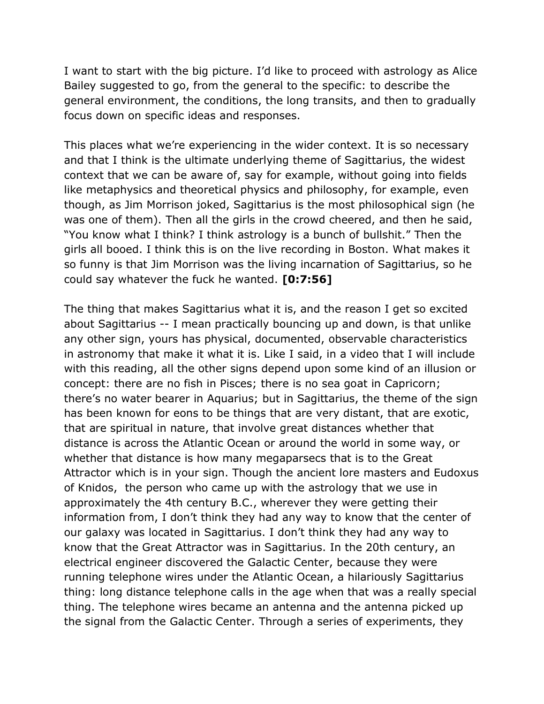I want to start with the big picture. I'd like to proceed with astrology as Alice Bailey suggested to go, from the general to the specific: to describe the general environment, the conditions, the long transits, and then to gradually focus down on specific ideas and responses.

This places what we're experiencing in the wider context. It is so necessary and that I think is the ultimate underlying theme of Sagittarius, the widest context that we can be aware of, say for example, without going into fields like metaphysics and theoretical physics and philosophy, for example, even though, as Jim Morrison joked, Sagittarius is the most philosophical sign (he was one of them). Then all the girls in the crowd cheered, and then he said, "You know what I think? I think astrology is a bunch of bullshit." Then the girls all booed. I think this is on the live recording in Boston. What makes it so funny is that Jim Morrison was the living incarnation of Sagittarius, so he could say whatever the fuck he wanted. [0:7:56]

The thing that makes Sagittarius what it is, and the reason I get so excited about Sagittarius -- I mean practically bouncing up and down, is that unlike any other sign, yours has physical, documented, observable characteristics in astronomy that make it what it is. Like I said, in a video that I will include with this reading, all the other signs depend upon some kind of an illusion or concept: there are no fish in Pisces; there is no sea goat in Capricorn; there's no water bearer in Aquarius; but in Sagittarius, the theme of the sign has been known for eons to be things that are very distant, that are exotic, that are spiritual in nature, that involve great distances whether that distance is across the Atlantic Ocean or around the world in some way, or whether that distance is how many megaparsecs that is to the Great Attractor which is in your sign. Though the ancient lore masters and Eudoxus of Knidos, the person who came up with the astrology that we use in approximately the 4th century B.C., wherever they were getting their information from, I don't think they had any way to know that the center of our galaxy was located in Sagittarius. I don't think they had any way to know that the Great Attractor was in Sagittarius. In the 20th century, an electrical engineer discovered the Galactic Center, because they were running telephone wires under the Atlantic Ocean, a hilariously Sagittarius thing: long distance telephone calls in the age when that was a really special thing. The telephone wires became an antenna and the antenna picked up the signal from the Galactic Center. Through a series of experiments, they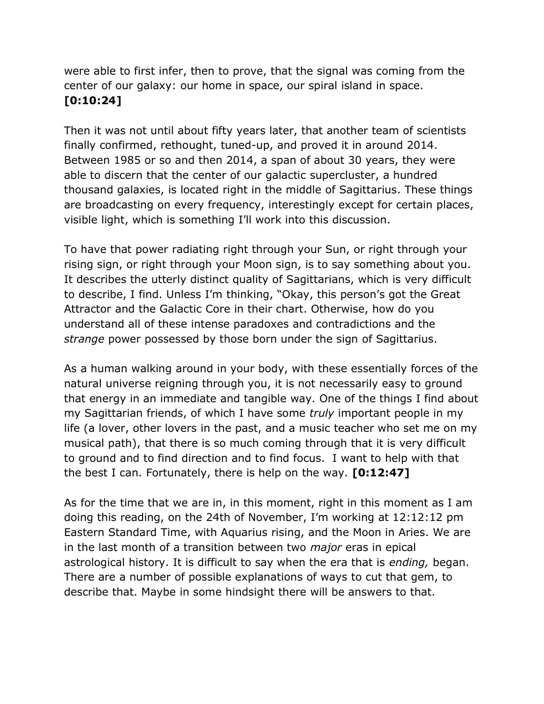were able to first infer, then to prove, that the signal was coming from the center of our galaxy: our home in space, our spiral island in space. [0:10:24]

Then it was not until about fifty years later, that another team of scientists finally confirmed, rethought, tuned-up, and proved it in around 2014. Between 1985 or so and then 2014, a span of about 30 years, they were able to discern that the center of our galactic supercluster, a hundred thousand galaxies, is located right in the middle of Sagittarius. These things are broadcasting on every frequency, interestingly except for certain places, visible light, which is something I'll work into this discussion.

To have that power radiating right through your Sun, or right through your rising sign, or right through your Moon sign, is to say something about you. It describes the utterly distinct quality of Sagittarians, which is very difficult to describe, I find. Unless I'm thinking, "Okay, this person's got the Great Attractor and the Galactic Core in their chart. Otherwise, how do you understand all of these intense paradoxes and contradictions and the strange power possessed by those born under the sign of Sagittarius.

As a human walking around in your body, with these essentially forces of the natural universe reigning through you, it is not necessarily easy to ground that energy in an immediate and tangible way. One of the things I find about my Sagittarian friends, of which I have some *truly* important people in my life (a lover, other lovers in the past, and a music teacher who set me on my musical path), that there is so much coming through that it is very difficult to ground and to find direction and to find focus. I want to help with that the best I can. Fortunately, there is help on the way. [0:12:47]

As for the time that we are in, in this moment, right in this moment as I am doing this reading, on the 24th of November, I'm working at 12:12:12 pm Eastern Standard Time, with Aquarius rising, and the Moon in Aries. We are in the last month of a transition between two *major* eras in epical astrological history. It is difficult to say when the era that is ending, began. There are a number of possible explanations of ways to cut that gem, to describe that. Maybe in some hindsight there will be answers to that.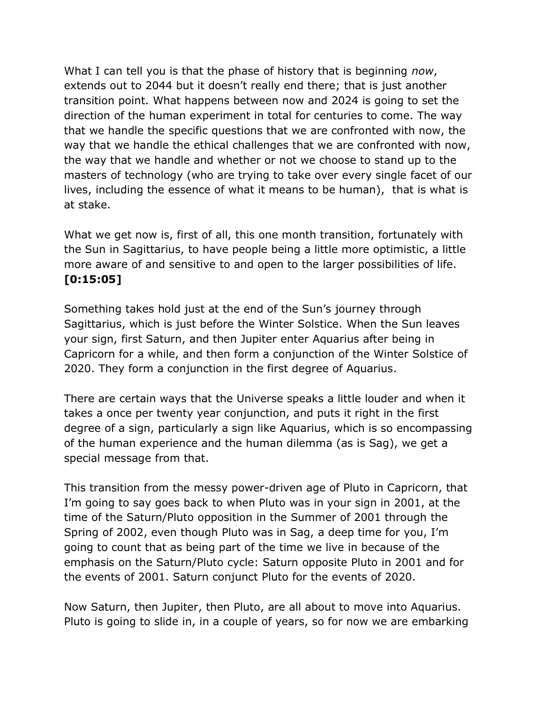What I can tell you is that the phase of history that is beginning now, extends out to 2044 but it doesn't really end there; that is just another transition point. What happens between now and 2024 is going to set the direction of the human experiment in total for centuries to come. The way that we handle the specific questions that we are confronted with now, the way that we handle the ethical challenges that we are confronted with now, the way that we handle and whether or not we choose to stand up to the masters of technology (who are trying to take over every single facet of our lives, including the essence of what it means to be human), that is what is at stake.

What we get now is, first of all, this one month transition, fortunately with the Sun in Sagittarius, to have people being a little more optimistic, a little more aware of and sensitive to and open to the larger possibilities of life. [0:15:05]

Something takes hold just at the end of the Sun's journey through Sagittarius, which is just before the Winter Solstice. When the Sun leaves your sign, first Saturn, and then Jupiter enter Aquarius after being in Capricorn for a while, and then form a conjunction of the Winter Solstice of 2020. They form a conjunction in the first degree of Aquarius.

There are certain ways that the Universe speaks a little louder and when it takes a once per twenty year conjunction, and puts it right in the first degree of a sign, particularly a sign like Aquarius, which is so encompassing of the human experience and the human dilemma (as is Sag), we get a special message from that.

This transition from the messy power-driven age of Pluto in Capricorn, that I'm going to say goes back to when Pluto was in your sign in 2001, at the time of the Saturn/Pluto opposition in the Summer of 2001 through the Spring of 2002, even though Pluto was in Sag, a deep time for you, I'm going to count that as being part of the time we live in because of the emphasis on the Saturn/Pluto cycle: Saturn opposite Pluto in 2001 and for the events of 2001. Saturn conjunct Pluto for the events of 2020.

Now Saturn, then Jupiter, then Pluto, are all about to move into Aquarius. Pluto is going to slide in, in a couple of years, so for now we are embarking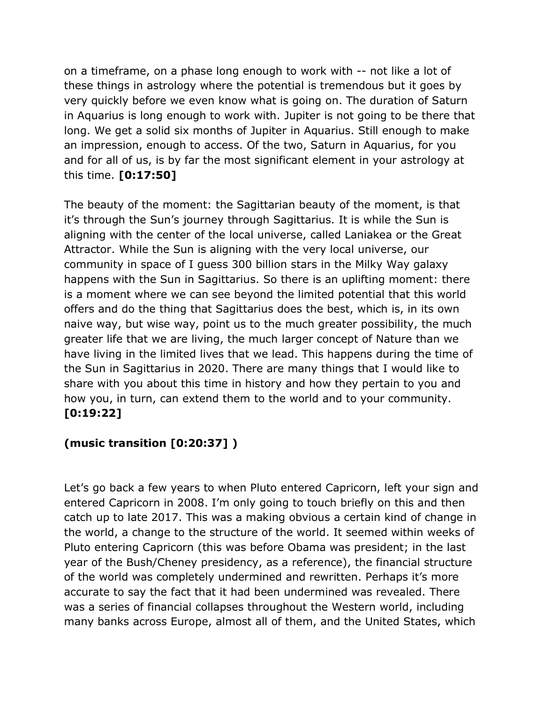on a timeframe, on a phase long enough to work with -- not like a lot of these things in astrology where the potential is tremendous but it goes by very quickly before we even know what is going on. The duration of Saturn in Aquarius is long enough to work with. Jupiter is not going to be there that long. We get a solid six months of Jupiter in Aquarius. Still enough to make an impression, enough to access. Of the two, Saturn in Aquarius, for you and for all of us, is by far the most significant element in your astrology at this time. [0:17:50]

The beauty of the moment: the Sagittarian beauty of the moment, is that it's through the Sun's journey through Sagittarius. It is while the Sun is aligning with the center of the local universe, called Laniakea or the Great Attractor. While the Sun is aligning with the very local universe, our community in space of I guess 300 billion stars in the Milky Way galaxy happens with the Sun in Sagittarius. So there is an uplifting moment: there is a moment where we can see beyond the limited potential that this world offers and do the thing that Sagittarius does the best, which is, in its own naive way, but wise way, point us to the much greater possibility, the much greater life that we are living, the much larger concept of Nature than we have living in the limited lives that we lead. This happens during the time of the Sun in Sagittarius in 2020. There are many things that I would like to share with you about this time in history and how they pertain to you and how you, in turn, can extend them to the world and to your community. [0:19:22]

## (music transition [0:20:37] )

Let's go back a few years to when Pluto entered Capricorn, left your sign and entered Capricorn in 2008. I'm only going to touch briefly on this and then catch up to late 2017. This was a making obvious a certain kind of change in the world, a change to the structure of the world. It seemed within weeks of Pluto entering Capricorn (this was before Obama was president; in the last year of the Bush/Cheney presidency, as a reference), the financial structure of the world was completely undermined and rewritten. Perhaps it's more accurate to say the fact that it had been undermined was revealed. There was a series of financial collapses throughout the Western world, including many banks across Europe, almost all of them, and the United States, which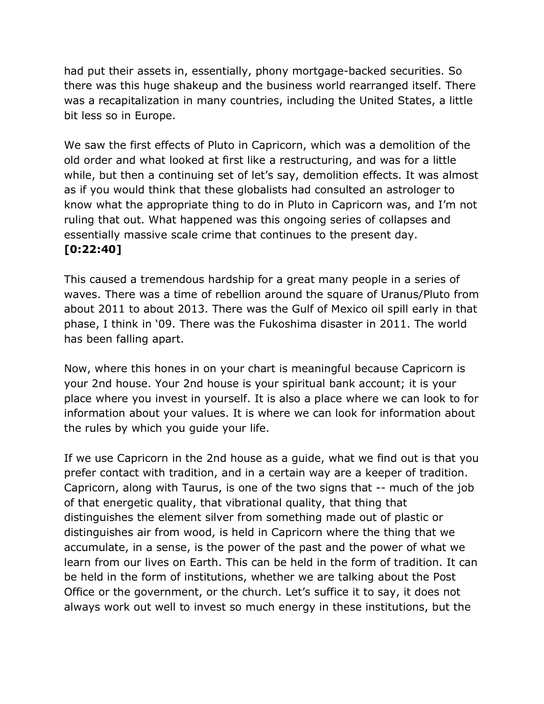had put their assets in, essentially, phony mortgage-backed securities. So there was this huge shakeup and the business world rearranged itself. There was a recapitalization in many countries, including the United States, a little bit less so in Europe.

We saw the first effects of Pluto in Capricorn, which was a demolition of the old order and what looked at first like a restructuring, and was for a little while, but then a continuing set of let's say, demolition effects. It was almost as if you would think that these globalists had consulted an astrologer to know what the appropriate thing to do in Pluto in Capricorn was, and I'm not ruling that out. What happened was this ongoing series of collapses and essentially massive scale crime that continues to the present day. [0:22:40]

This caused a tremendous hardship for a great many people in a series of waves. There was a time of rebellion around the square of Uranus/Pluto from about 2011 to about 2013. There was the Gulf of Mexico oil spill early in that phase, I think in '09. There was the Fukoshima disaster in 2011. The world has been falling apart.

Now, where this hones in on your chart is meaningful because Capricorn is your 2nd house. Your 2nd house is your spiritual bank account; it is your place where you invest in yourself. It is also a place where we can look to for information about your values. It is where we can look for information about the rules by which you guide your life.

If we use Capricorn in the 2nd house as a guide, what we find out is that you prefer contact with tradition, and in a certain way are a keeper of tradition. Capricorn, along with Taurus, is one of the two signs that -- much of the job of that energetic quality, that vibrational quality, that thing that distinguishes the element silver from something made out of plastic or distinguishes air from wood, is held in Capricorn where the thing that we accumulate, in a sense, is the power of the past and the power of what we learn from our lives on Earth. This can be held in the form of tradition. It can be held in the form of institutions, whether we are talking about the Post Office or the government, or the church. Let's suffice it to say, it does not always work out well to invest so much energy in these institutions, but the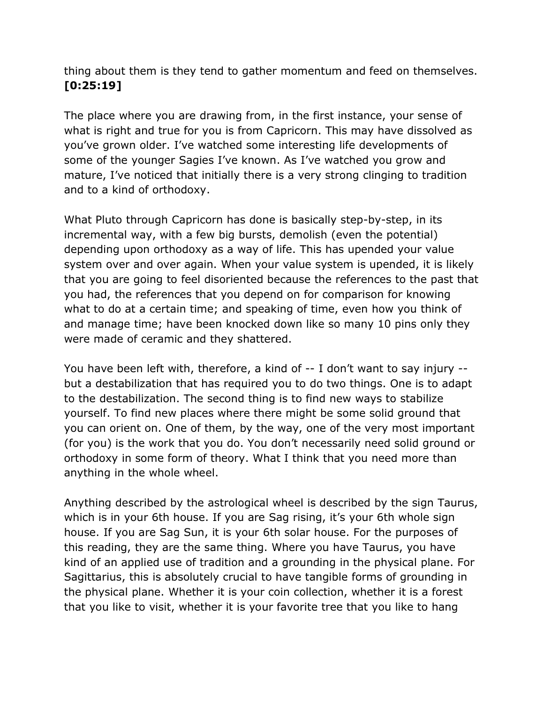thing about them is they tend to gather momentum and feed on themselves. [0:25:19]

The place where you are drawing from, in the first instance, your sense of what is right and true for you is from Capricorn. This may have dissolved as you've grown older. I've watched some interesting life developments of some of the younger Sagies I've known. As I've watched you grow and mature, I've noticed that initially there is a very strong clinging to tradition and to a kind of orthodoxy.

What Pluto through Capricorn has done is basically step-by-step, in its incremental way, with a few big bursts, demolish (even the potential) depending upon orthodoxy as a way of life. This has upended your value system over and over again. When your value system is upended, it is likely that you are going to feel disoriented because the references to the past that you had, the references that you depend on for comparison for knowing what to do at a certain time; and speaking of time, even how you think of and manage time; have been knocked down like so many 10 pins only they were made of ceramic and they shattered.

You have been left with, therefore, a kind of -- I don't want to say injury - but a destabilization that has required you to do two things. One is to adapt to the destabilization. The second thing is to find new ways to stabilize yourself. To find new places where there might be some solid ground that you can orient on. One of them, by the way, one of the very most important (for you) is the work that you do. You don't necessarily need solid ground or orthodoxy in some form of theory. What I think that you need more than anything in the whole wheel.

Anything described by the astrological wheel is described by the sign Taurus, which is in your 6th house. If you are Sag rising, it's your 6th whole sign house. If you are Sag Sun, it is your 6th solar house. For the purposes of this reading, they are the same thing. Where you have Taurus, you have kind of an applied use of tradition and a grounding in the physical plane. For Sagittarius, this is absolutely crucial to have tangible forms of grounding in the physical plane. Whether it is your coin collection, whether it is a forest that you like to visit, whether it is your favorite tree that you like to hang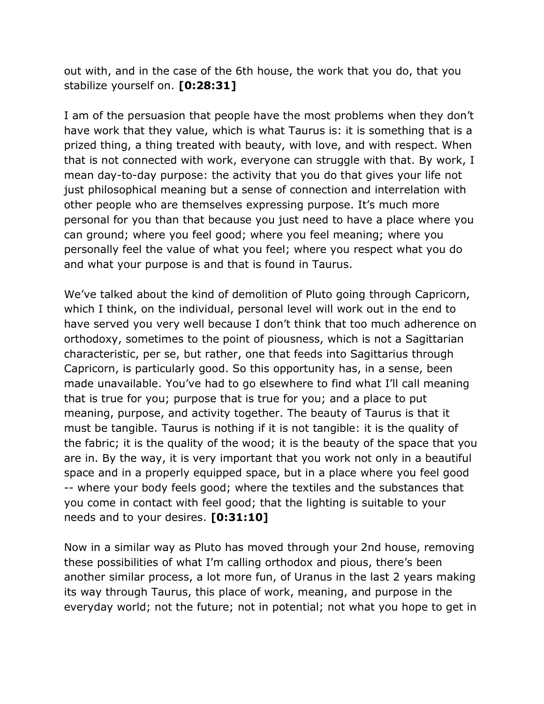out with, and in the case of the 6th house, the work that you do, that you stabilize yourself on. [0:28:31]

I am of the persuasion that people have the most problems when they don't have work that they value, which is what Taurus is: it is something that is a prized thing, a thing treated with beauty, with love, and with respect. When that is not connected with work, everyone can struggle with that. By work, I mean day-to-day purpose: the activity that you do that gives your life not just philosophical meaning but a sense of connection and interrelation with other people who are themselves expressing purpose. It's much more personal for you than that because you just need to have a place where you can ground; where you feel good; where you feel meaning; where you personally feel the value of what you feel; where you respect what you do and what your purpose is and that is found in Taurus.

We've talked about the kind of demolition of Pluto going through Capricorn, which I think, on the individual, personal level will work out in the end to have served you very well because I don't think that too much adherence on orthodoxy, sometimes to the point of piousness, which is not a Sagittarian characteristic, per se, but rather, one that feeds into Sagittarius through Capricorn, is particularly good. So this opportunity has, in a sense, been made unavailable. You've had to go elsewhere to find what I'll call meaning that is true for you; purpose that is true for you; and a place to put meaning, purpose, and activity together. The beauty of Taurus is that it must be tangible. Taurus is nothing if it is not tangible: it is the quality of the fabric; it is the quality of the wood; it is the beauty of the space that you are in. By the way, it is very important that you work not only in a beautiful space and in a properly equipped space, but in a place where you feel good -- where your body feels good; where the textiles and the substances that you come in contact with feel good; that the lighting is suitable to your needs and to your desires. [0:31:10]

Now in a similar way as Pluto has moved through your 2nd house, removing these possibilities of what I'm calling orthodox and pious, there's been another similar process, a lot more fun, of Uranus in the last 2 years making its way through Taurus, this place of work, meaning, and purpose in the everyday world; not the future; not in potential; not what you hope to get in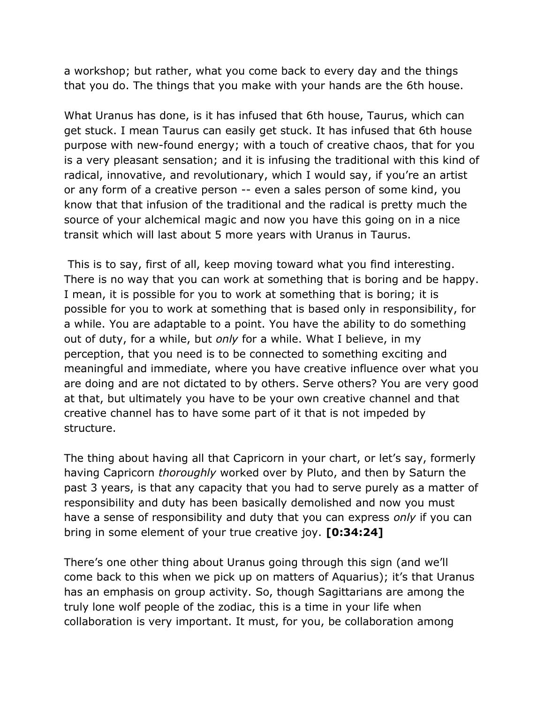a workshop; but rather, what you come back to every day and the things that you do. The things that you make with your hands are the 6th house.

What Uranus has done, is it has infused that 6th house, Taurus, which can get stuck. I mean Taurus can easily get stuck. It has infused that 6th house purpose with new-found energy; with a touch of creative chaos, that for you is a very pleasant sensation; and it is infusing the traditional with this kind of radical, innovative, and revolutionary, which I would say, if you're an artist or any form of a creative person -- even a sales person of some kind, you know that that infusion of the traditional and the radical is pretty much the source of your alchemical magic and now you have this going on in a nice transit which will last about 5 more years with Uranus in Taurus.

 This is to say, first of all, keep moving toward what you find interesting. There is no way that you can work at something that is boring and be happy. I mean, it is possible for you to work at something that is boring; it is possible for you to work at something that is based only in responsibility, for a while. You are adaptable to a point. You have the ability to do something out of duty, for a while, but only for a while. What I believe, in my perception, that you need is to be connected to something exciting and meaningful and immediate, where you have creative influence over what you are doing and are not dictated to by others. Serve others? You are very good at that, but ultimately you have to be your own creative channel and that creative channel has to have some part of it that is not impeded by structure.

The thing about having all that Capricorn in your chart, or let's say, formerly having Capricorn thoroughly worked over by Pluto, and then by Saturn the past 3 years, is that any capacity that you had to serve purely as a matter of responsibility and duty has been basically demolished and now you must have a sense of responsibility and duty that you can express only if you can bring in some element of your true creative joy. [0:34:24]

There's one other thing about Uranus going through this sign (and we'll come back to this when we pick up on matters of Aquarius); it's that Uranus has an emphasis on group activity. So, though Sagittarians are among the truly lone wolf people of the zodiac, this is a time in your life when collaboration is very important. It must, for you, be collaboration among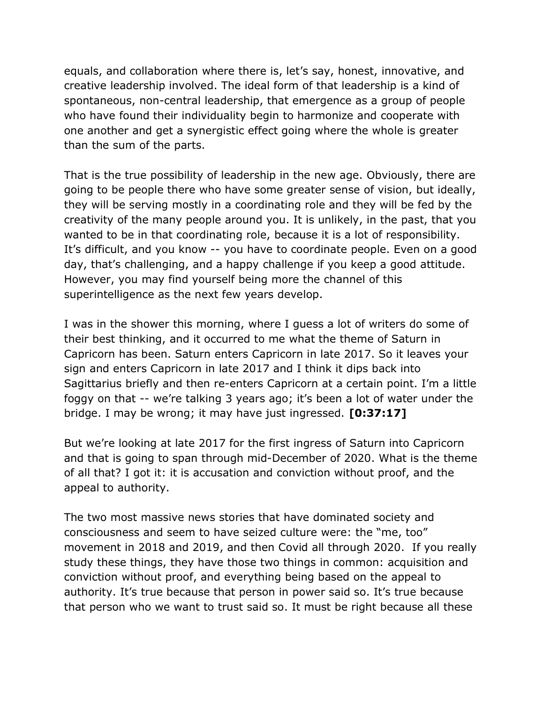equals, and collaboration where there is, let's say, honest, innovative, and creative leadership involved. The ideal form of that leadership is a kind of spontaneous, non-central leadership, that emergence as a group of people who have found their individuality begin to harmonize and cooperate with one another and get a synergistic effect going where the whole is greater than the sum of the parts.

That is the true possibility of leadership in the new age. Obviously, there are going to be people there who have some greater sense of vision, but ideally, they will be serving mostly in a coordinating role and they will be fed by the creativity of the many people around you. It is unlikely, in the past, that you wanted to be in that coordinating role, because it is a lot of responsibility. It's difficult, and you know -- you have to coordinate people. Even on a good day, that's challenging, and a happy challenge if you keep a good attitude. However, you may find yourself being more the channel of this superintelligence as the next few years develop.

I was in the shower this morning, where I guess a lot of writers do some of their best thinking, and it occurred to me what the theme of Saturn in Capricorn has been. Saturn enters Capricorn in late 2017. So it leaves your sign and enters Capricorn in late 2017 and I think it dips back into Sagittarius briefly and then re-enters Capricorn at a certain point. I'm a little foggy on that -- we're talking 3 years ago; it's been a lot of water under the bridge. I may be wrong; it may have just ingressed. [0:37:17]

But we're looking at late 2017 for the first ingress of Saturn into Capricorn and that is going to span through mid-December of 2020. What is the theme of all that? I got it: it is accusation and conviction without proof, and the appeal to authority.

The two most massive news stories that have dominated society and consciousness and seem to have seized culture were: the "me, too" movement in 2018 and 2019, and then Covid all through 2020. If you really study these things, they have those two things in common: acquisition and conviction without proof, and everything being based on the appeal to authority. It's true because that person in power said so. It's true because that person who we want to trust said so. It must be right because all these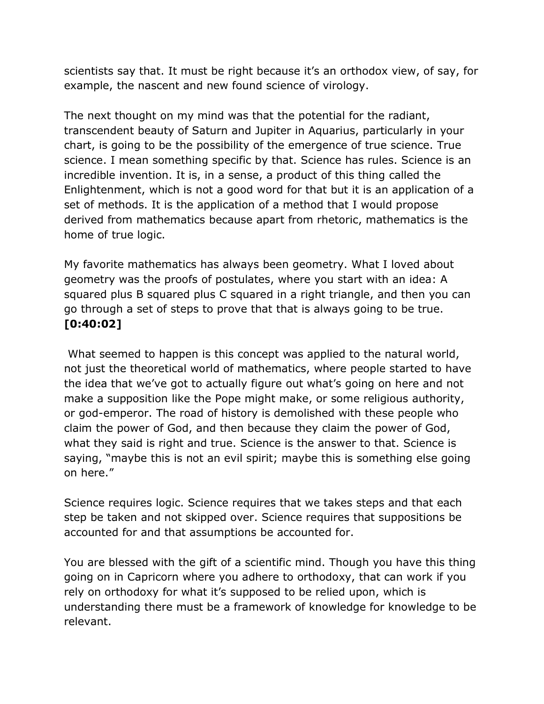scientists say that. It must be right because it's an orthodox view, of say, for example, the nascent and new found science of virology.

The next thought on my mind was that the potential for the radiant, transcendent beauty of Saturn and Jupiter in Aquarius, particularly in your chart, is going to be the possibility of the emergence of true science. True science. I mean something specific by that. Science has rules. Science is an incredible invention. It is, in a sense, a product of this thing called the Enlightenment, which is not a good word for that but it is an application of a set of methods. It is the application of a method that I would propose derived from mathematics because apart from rhetoric, mathematics is the home of true logic.

My favorite mathematics has always been geometry. What I loved about geometry was the proofs of postulates, where you start with an idea: A squared plus B squared plus C squared in a right triangle, and then you can go through a set of steps to prove that that is always going to be true. [0:40:02]

 What seemed to happen is this concept was applied to the natural world, not just the theoretical world of mathematics, where people started to have the idea that we've got to actually figure out what's going on here and not make a supposition like the Pope might make, or some religious authority, or god-emperor. The road of history is demolished with these people who claim the power of God, and then because they claim the power of God, what they said is right and true. Science is the answer to that. Science is saying, "maybe this is not an evil spirit; maybe this is something else going on here."

Science requires logic. Science requires that we takes steps and that each step be taken and not skipped over. Science requires that suppositions be accounted for and that assumptions be accounted for.

You are blessed with the gift of a scientific mind. Though you have this thing going on in Capricorn where you adhere to orthodoxy, that can work if you rely on orthodoxy for what it's supposed to be relied upon, which is understanding there must be a framework of knowledge for knowledge to be relevant.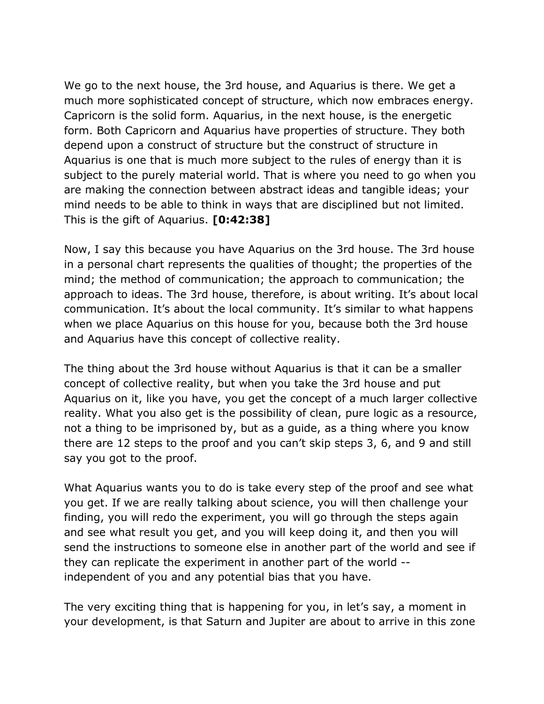We go to the next house, the 3rd house, and Aquarius is there. We get a much more sophisticated concept of structure, which now embraces energy. Capricorn is the solid form. Aquarius, in the next house, is the energetic form. Both Capricorn and Aquarius have properties of structure. They both depend upon a construct of structure but the construct of structure in Aquarius is one that is much more subject to the rules of energy than it is subject to the purely material world. That is where you need to go when you are making the connection between abstract ideas and tangible ideas; your mind needs to be able to think in ways that are disciplined but not limited. This is the gift of Aquarius. [0:42:38]

Now, I say this because you have Aquarius on the 3rd house. The 3rd house in a personal chart represents the qualities of thought; the properties of the mind; the method of communication; the approach to communication; the approach to ideas. The 3rd house, therefore, is about writing. It's about local communication. It's about the local community. It's similar to what happens when we place Aquarius on this house for you, because both the 3rd house and Aquarius have this concept of collective reality.

The thing about the 3rd house without Aquarius is that it can be a smaller concept of collective reality, but when you take the 3rd house and put Aquarius on it, like you have, you get the concept of a much larger collective reality. What you also get is the possibility of clean, pure logic as a resource, not a thing to be imprisoned by, but as a guide, as a thing where you know there are 12 steps to the proof and you can't skip steps 3, 6, and 9 and still say you got to the proof.

What Aquarius wants you to do is take every step of the proof and see what you get. If we are really talking about science, you will then challenge your finding, you will redo the experiment, you will go through the steps again and see what result you get, and you will keep doing it, and then you will send the instructions to someone else in another part of the world and see if they can replicate the experiment in another part of the world - independent of you and any potential bias that you have.

The very exciting thing that is happening for you, in let's say, a moment in your development, is that Saturn and Jupiter are about to arrive in this zone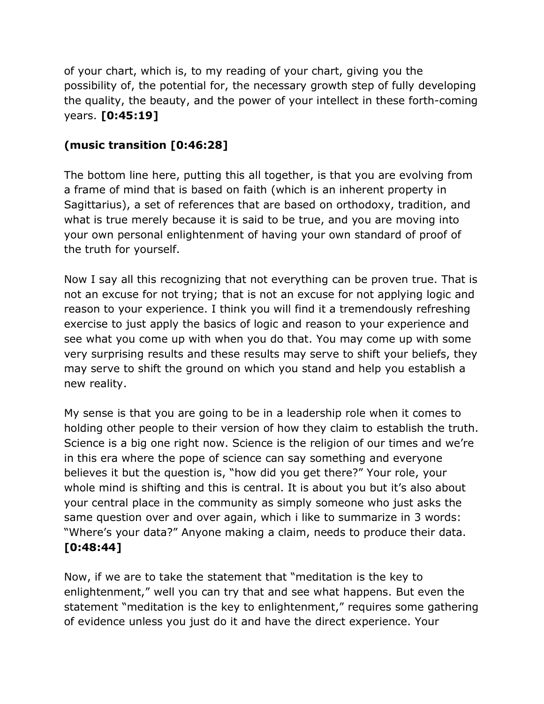of your chart, which is, to my reading of your chart, giving you the possibility of, the potential for, the necessary growth step of fully developing the quality, the beauty, and the power of your intellect in these forth-coming years. [0:45:19]

## (music transition [0:46:28]

The bottom line here, putting this all together, is that you are evolving from a frame of mind that is based on faith (which is an inherent property in Sagittarius), a set of references that are based on orthodoxy, tradition, and what is true merely because it is said to be true, and you are moving into your own personal enlightenment of having your own standard of proof of the truth for yourself.

Now I say all this recognizing that not everything can be proven true. That is not an excuse for not trying; that is not an excuse for not applying logic and reason to your experience. I think you will find it a tremendously refreshing exercise to just apply the basics of logic and reason to your experience and see what you come up with when you do that. You may come up with some very surprising results and these results may serve to shift your beliefs, they may serve to shift the ground on which you stand and help you establish a new reality.

My sense is that you are going to be in a leadership role when it comes to holding other people to their version of how they claim to establish the truth. Science is a big one right now. Science is the religion of our times and we're in this era where the pope of science can say something and everyone believes it but the question is, "how did you get there?" Your role, your whole mind is shifting and this is central. It is about you but it's also about your central place in the community as simply someone who just asks the same question over and over again, which i like to summarize in 3 words: "Where's your data?" Anyone making a claim, needs to produce their data. [0:48:44]

Now, if we are to take the statement that "meditation is the key to enlightenment," well you can try that and see what happens. But even the statement "meditation is the key to enlightenment," requires some gathering of evidence unless you just do it and have the direct experience. Your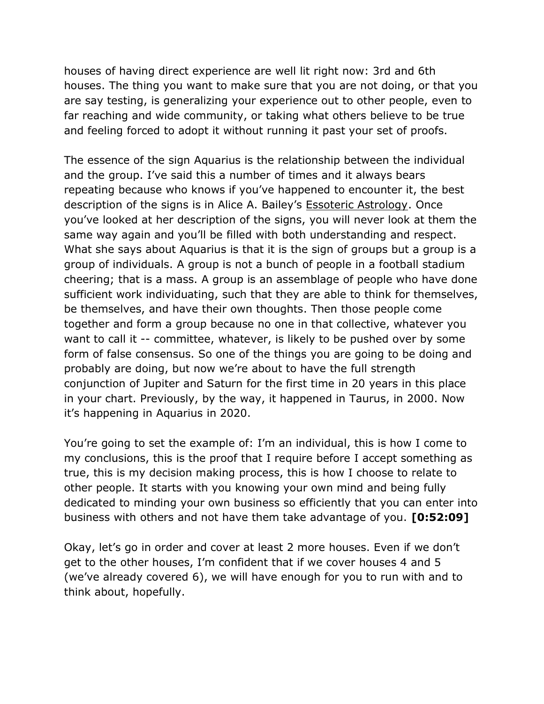houses of having direct experience are well lit right now: 3rd and 6th houses. The thing you want to make sure that you are not doing, or that you are say testing, is generalizing your experience out to other people, even to far reaching and wide community, or taking what others believe to be true and feeling forced to adopt it without running it past your set of proofs.

The essence of the sign Aquarius is the relationship between the individual and the group. I've said this a number of times and it always bears repeating because who knows if you've happened to encounter it, the best description of the signs is in Alice A. Bailey's Essoteric Astrology. Once you've looked at her description of the signs, you will never look at them the same way again and you'll be filled with both understanding and respect. What she says about Aquarius is that it is the sign of groups but a group is a group of individuals. A group is not a bunch of people in a football stadium cheering; that is a mass. A group is an assemblage of people who have done sufficient work individuating, such that they are able to think for themselves, be themselves, and have their own thoughts. Then those people come together and form a group because no one in that collective, whatever you want to call it -- committee, whatever, is likely to be pushed over by some form of false consensus. So one of the things you are going to be doing and probably are doing, but now we're about to have the full strength conjunction of Jupiter and Saturn for the first time in 20 years in this place in your chart. Previously, by the way, it happened in Taurus, in 2000. Now it's happening in Aquarius in 2020.

You're going to set the example of: I'm an individual, this is how I come to my conclusions, this is the proof that I require before I accept something as true, this is my decision making process, this is how I choose to relate to other people. It starts with you knowing your own mind and being fully dedicated to minding your own business so efficiently that you can enter into business with others and not have them take advantage of you. [0:52:09]

Okay, let's go in order and cover at least 2 more houses. Even if we don't get to the other houses, I'm confident that if we cover houses 4 and 5 (we've already covered 6), we will have enough for you to run with and to think about, hopefully.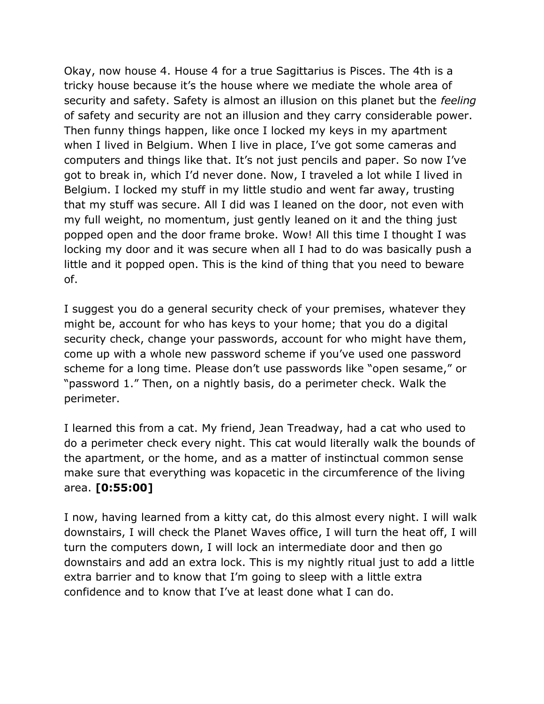Okay, now house 4. House 4 for a true Sagittarius is Pisces. The 4th is a tricky house because it's the house where we mediate the whole area of security and safety. Safety is almost an illusion on this planet but the feeling of safety and security are not an illusion and they carry considerable power. Then funny things happen, like once I locked my keys in my apartment when I lived in Belgium. When I live in place, I've got some cameras and computers and things like that. It's not just pencils and paper. So now I've got to break in, which I'd never done. Now, I traveled a lot while I lived in Belgium. I locked my stuff in my little studio and went far away, trusting that my stuff was secure. All I did was I leaned on the door, not even with my full weight, no momentum, just gently leaned on it and the thing just popped open and the door frame broke. Wow! All this time I thought I was locking my door and it was secure when all I had to do was basically push a little and it popped open. This is the kind of thing that you need to beware of.

I suggest you do a general security check of your premises, whatever they might be, account for who has keys to your home; that you do a digital security check, change your passwords, account for who might have them, come up with a whole new password scheme if you've used one password scheme for a long time. Please don't use passwords like "open sesame," or "password 1." Then, on a nightly basis, do a perimeter check. Walk the perimeter.

I learned this from a cat. My friend, Jean Treadway, had a cat who used to do a perimeter check every night. This cat would literally walk the bounds of the apartment, or the home, and as a matter of instinctual common sense make sure that everything was kopacetic in the circumference of the living area. [0:55:00]

I now, having learned from a kitty cat, do this almost every night. I will walk downstairs, I will check the Planet Waves office, I will turn the heat off, I will turn the computers down, I will lock an intermediate door and then go downstairs and add an extra lock. This is my nightly ritual just to add a little extra barrier and to know that I'm going to sleep with a little extra confidence and to know that I've at least done what I can do.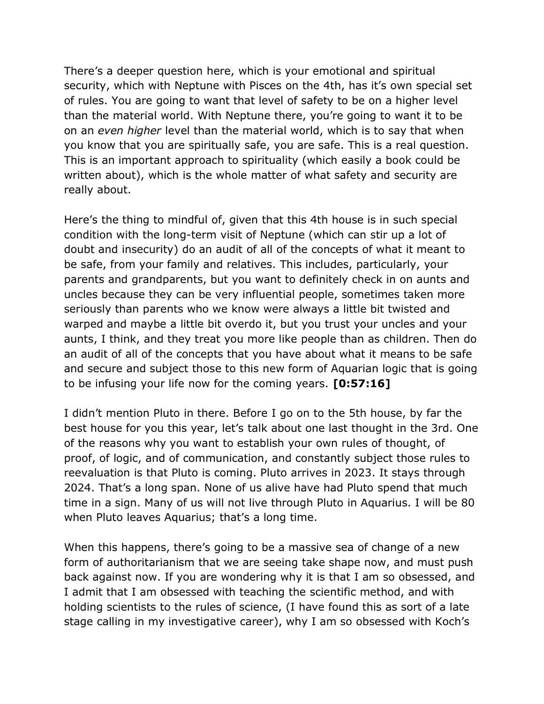There's a deeper question here, which is your emotional and spiritual security, which with Neptune with Pisces on the 4th, has it's own special set of rules. You are going to want that level of safety to be on a higher level than the material world. With Neptune there, you're going to want it to be on an even higher level than the material world, which is to say that when you know that you are spiritually safe, you are safe. This is a real question. This is an important approach to spirituality (which easily a book could be written about), which is the whole matter of what safety and security are really about.

Here's the thing to mindful of, given that this 4th house is in such special condition with the long-term visit of Neptune (which can stir up a lot of doubt and insecurity) do an audit of all of the concepts of what it meant to be safe, from your family and relatives. This includes, particularly, your parents and grandparents, but you want to definitely check in on aunts and uncles because they can be very influential people, sometimes taken more seriously than parents who we know were always a little bit twisted and warped and maybe a little bit overdo it, but you trust your uncles and your aunts, I think, and they treat you more like people than as children. Then do an audit of all of the concepts that you have about what it means to be safe and secure and subject those to this new form of Aquarian logic that is going to be infusing your life now for the coming years. [0:57:16]

I didn't mention Pluto in there. Before I go on to the 5th house, by far the best house for you this year, let's talk about one last thought in the 3rd. One of the reasons why you want to establish your own rules of thought, of proof, of logic, and of communication, and constantly subject those rules to reevaluation is that Pluto is coming. Pluto arrives in 2023. It stays through 2024. That's a long span. None of us alive have had Pluto spend that much time in a sign. Many of us will not live through Pluto in Aquarius. I will be 80 when Pluto leaves Aquarius; that's a long time.

When this happens, there's going to be a massive sea of change of a new form of authoritarianism that we are seeing take shape now, and must push back against now. If you are wondering why it is that I am so obsessed, and I admit that I am obsessed with teaching the scientific method, and with holding scientists to the rules of science, (I have found this as sort of a late stage calling in my investigative career), why I am so obsessed with Koch's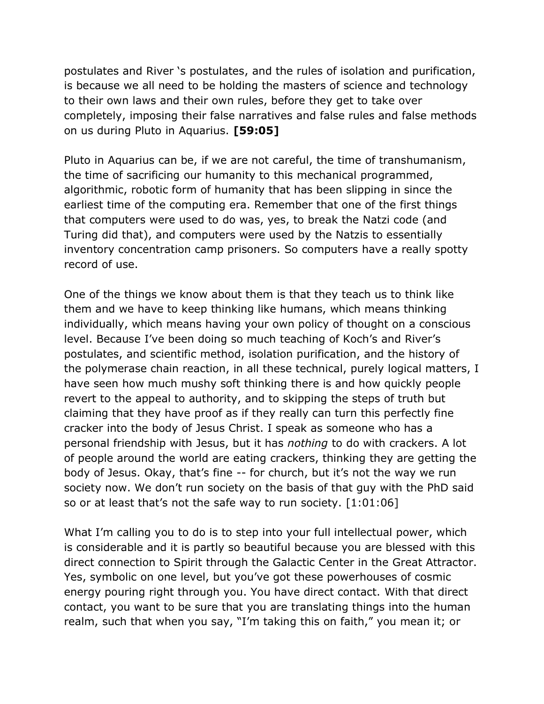postulates and River 's postulates, and the rules of isolation and purification, is because we all need to be holding the masters of science and technology to their own laws and their own rules, before they get to take over completely, imposing their false narratives and false rules and false methods on us during Pluto in Aquarius. [59:05]

Pluto in Aquarius can be, if we are not careful, the time of transhumanism, the time of sacrificing our humanity to this mechanical programmed, algorithmic, robotic form of humanity that has been slipping in since the earliest time of the computing era. Remember that one of the first things that computers were used to do was, yes, to break the Natzi code (and Turing did that), and computers were used by the Natzis to essentially inventory concentration camp prisoners. So computers have a really spotty record of use.

One of the things we know about them is that they teach us to think like them and we have to keep thinking like humans, which means thinking individually, which means having your own policy of thought on a conscious level. Because I've been doing so much teaching of Koch's and River's postulates, and scientific method, isolation purification, and the history of the polymerase chain reaction, in all these technical, purely logical matters, I have seen how much mushy soft thinking there is and how quickly people revert to the appeal to authority, and to skipping the steps of truth but claiming that they have proof as if they really can turn this perfectly fine cracker into the body of Jesus Christ. I speak as someone who has a personal friendship with Jesus, but it has nothing to do with crackers. A lot of people around the world are eating crackers, thinking they are getting the body of Jesus. Okay, that's fine -- for church, but it's not the way we run society now. We don't run society on the basis of that guy with the PhD said so or at least that's not the safe way to run society. [1:01:06]

What I'm calling you to do is to step into your full intellectual power, which is considerable and it is partly so beautiful because you are blessed with this direct connection to Spirit through the Galactic Center in the Great Attractor. Yes, symbolic on one level, but you've got these powerhouses of cosmic energy pouring right through you. You have direct contact. With that direct contact, you want to be sure that you are translating things into the human realm, such that when you say, "I'm taking this on faith," you mean it; or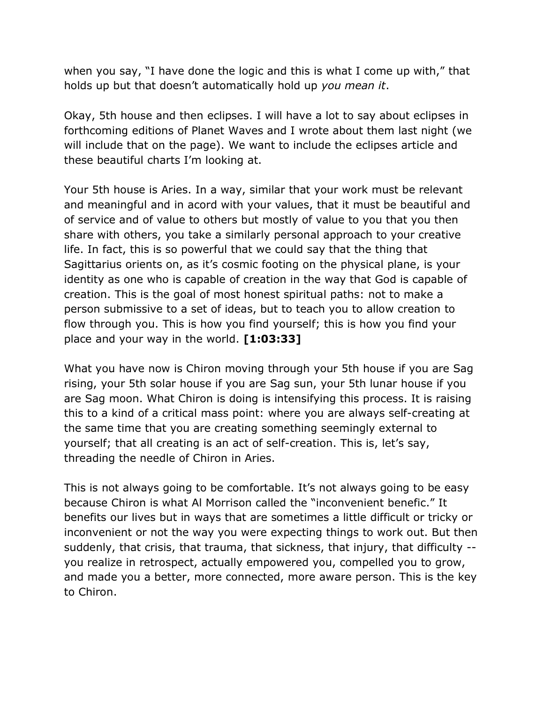when you say, "I have done the logic and this is what I come up with," that holds up but that doesn't automatically hold up you mean it.

Okay, 5th house and then eclipses. I will have a lot to say about eclipses in forthcoming editions of Planet Waves and I wrote about them last night (we will include that on the page). We want to include the eclipses article and these beautiful charts I'm looking at.

Your 5th house is Aries. In a way, similar that your work must be relevant and meaningful and in acord with your values, that it must be beautiful and of service and of value to others but mostly of value to you that you then share with others, you take a similarly personal approach to your creative life. In fact, this is so powerful that we could say that the thing that Sagittarius orients on, as it's cosmic footing on the physical plane, is your identity as one who is capable of creation in the way that God is capable of creation. This is the goal of most honest spiritual paths: not to make a person submissive to a set of ideas, but to teach you to allow creation to flow through you. This is how you find yourself; this is how you find your place and your way in the world. [1:03:33]

What you have now is Chiron moving through your 5th house if you are Sag rising, your 5th solar house if you are Sag sun, your 5th lunar house if you are Sag moon. What Chiron is doing is intensifying this process. It is raising this to a kind of a critical mass point: where you are always self-creating at the same time that you are creating something seemingly external to yourself; that all creating is an act of self-creation. This is, let's say, threading the needle of Chiron in Aries.

This is not always going to be comfortable. It's not always going to be easy because Chiron is what Al Morrison called the "inconvenient benefic." It benefits our lives but in ways that are sometimes a little difficult or tricky or inconvenient or not the way you were expecting things to work out. But then suddenly, that crisis, that trauma, that sickness, that injury, that difficulty - you realize in retrospect, actually empowered you, compelled you to grow, and made you a better, more connected, more aware person. This is the key to Chiron.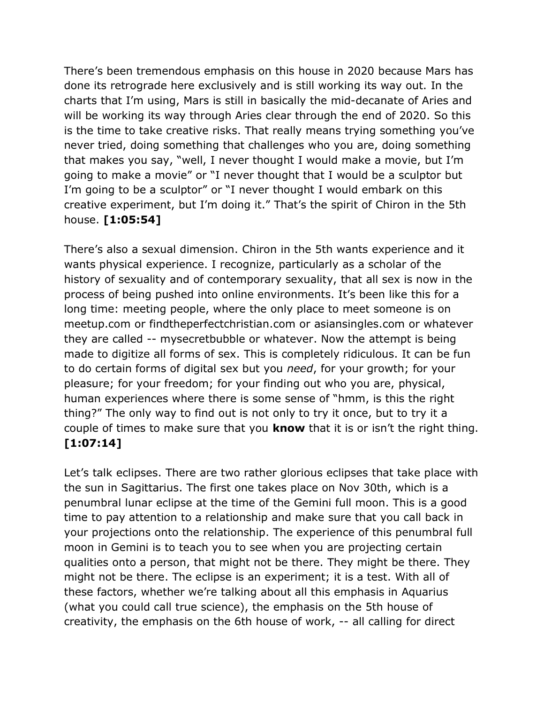There's been tremendous emphasis on this house in 2020 because Mars has done its retrograde here exclusively and is still working its way out. In the charts that I'm using, Mars is still in basically the mid-decanate of Aries and will be working its way through Aries clear through the end of 2020. So this is the time to take creative risks. That really means trying something you've never tried, doing something that challenges who you are, doing something that makes you say, "well, I never thought I would make a movie, but I'm going to make a movie" or "I never thought that I would be a sculptor but I'm going to be a sculptor" or "I never thought I would embark on this creative experiment, but I'm doing it." That's the spirit of Chiron in the 5th house. [1:05:54]

There's also a sexual dimension. Chiron in the 5th wants experience and it wants physical experience. I recognize, particularly as a scholar of the history of sexuality and of contemporary sexuality, that all sex is now in the process of being pushed into online environments. It's been like this for a long time: meeting people, where the only place to meet someone is on meetup.com or findtheperfectchristian.com or asiansingles.com or whatever they are called -- mysecretbubble or whatever. Now the attempt is being made to digitize all forms of sex. This is completely ridiculous. It can be fun to do certain forms of digital sex but you need, for your growth; for your pleasure; for your freedom; for your finding out who you are, physical, human experiences where there is some sense of "hmm, is this the right thing?" The only way to find out is not only to try it once, but to try it a couple of times to make sure that you **know** that it is or isn't the right thing. [1:07:14]

Let's talk eclipses. There are two rather glorious eclipses that take place with the sun in Sagittarius. The first one takes place on Nov 30th, which is a penumbral lunar eclipse at the time of the Gemini full moon. This is a good time to pay attention to a relationship and make sure that you call back in your projections onto the relationship. The experience of this penumbral full moon in Gemini is to teach you to see when you are projecting certain qualities onto a person, that might not be there. They might be there. They might not be there. The eclipse is an experiment; it is a test. With all of these factors, whether we're talking about all this emphasis in Aquarius (what you could call true science), the emphasis on the 5th house of creativity, the emphasis on the 6th house of work, -- all calling for direct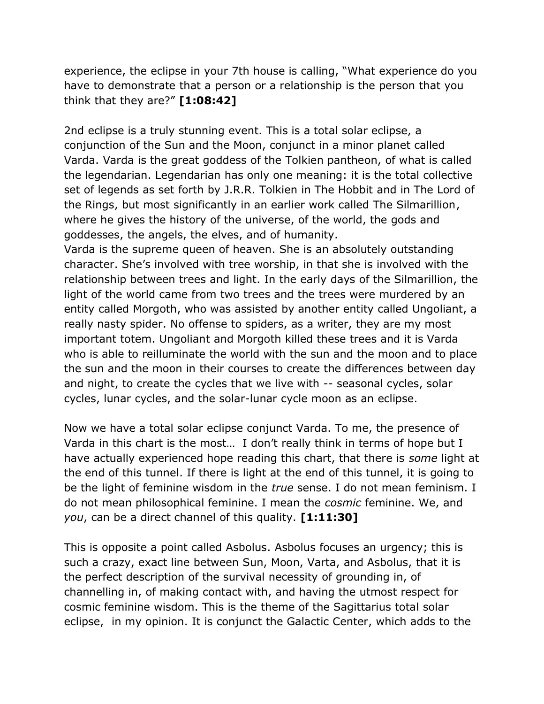experience, the eclipse in your 7th house is calling, "What experience do you have to demonstrate that a person or a relationship is the person that you think that they are?" [1:08:42]

2nd eclipse is a truly stunning event. This is a total solar eclipse, a conjunction of the Sun and the Moon, conjunct in a minor planet called Varda. Varda is the great goddess of the Tolkien pantheon, of what is called the legendarian. Legendarian has only one meaning: it is the total collective set of legends as set forth by J.R.R. Tolkien in The Hobbit and in The Lord of the Rings, but most significantly in an earlier work called The Silmarillion, where he gives the history of the universe, of the world, the gods and goddesses, the angels, the elves, and of humanity.

Varda is the supreme queen of heaven. She is an absolutely outstanding character. She's involved with tree worship, in that she is involved with the relationship between trees and light. In the early days of the Silmarillion, the light of the world came from two trees and the trees were murdered by an entity called Morgoth, who was assisted by another entity called Ungoliant, a really nasty spider. No offense to spiders, as a writer, they are my most important totem. Ungoliant and Morgoth killed these trees and it is Varda who is able to reilluminate the world with the sun and the moon and to place the sun and the moon in their courses to create the differences between day and night, to create the cycles that we live with -- seasonal cycles, solar cycles, lunar cycles, and the solar-lunar cycle moon as an eclipse.

Now we have a total solar eclipse conjunct Varda. To me, the presence of Varda in this chart is the most… I don't really think in terms of hope but I have actually experienced hope reading this chart, that there is some light at the end of this tunnel. If there is light at the end of this tunnel, it is going to be the light of feminine wisdom in the *true* sense. I do not mean feminism. I do not mean philosophical feminine. I mean the cosmic feminine. We, and you, can be a direct channel of this quality. [1:11:30]

This is opposite a point called Asbolus. Asbolus focuses an urgency; this is such a crazy, exact line between Sun, Moon, Varta, and Asbolus, that it is the perfect description of the survival necessity of grounding in, of channelling in, of making contact with, and having the utmost respect for cosmic feminine wisdom. This is the theme of the Sagittarius total solar eclipse, in my opinion. It is conjunct the Galactic Center, which adds to the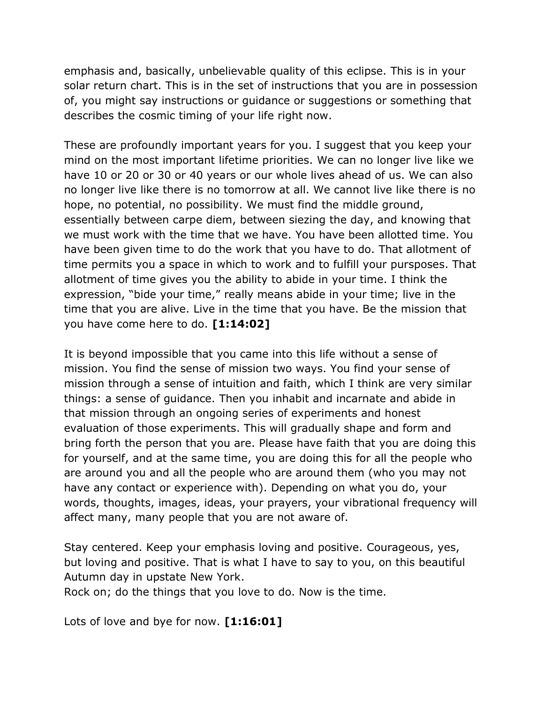emphasis and, basically, unbelievable quality of this eclipse. This is in your solar return chart. This is in the set of instructions that you are in possession of, you might say instructions or guidance or suggestions or something that describes the cosmic timing of your life right now.

These are profoundly important years for you. I suggest that you keep your mind on the most important lifetime priorities. We can no longer live like we have 10 or 20 or 30 or 40 years or our whole lives ahead of us. We can also no longer live like there is no tomorrow at all. We cannot live like there is no hope, no potential, no possibility. We must find the middle ground, essentially between carpe diem, between siezing the day, and knowing that we must work with the time that we have. You have been allotted time. You have been given time to do the work that you have to do. That allotment of time permits you a space in which to work and to fulfill your pursposes. That allotment of time gives you the ability to abide in your time. I think the expression, "bide your time," really means abide in your time; live in the time that you are alive. Live in the time that you have. Be the mission that you have come here to do. [1:14:02]

It is beyond impossible that you came into this life without a sense of mission. You find the sense of mission two ways. You find your sense of mission through a sense of intuition and faith, which I think are very similar things: a sense of guidance. Then you inhabit and incarnate and abide in that mission through an ongoing series of experiments and honest evaluation of those experiments. This will gradually shape and form and bring forth the person that you are. Please have faith that you are doing this for yourself, and at the same time, you are doing this for all the people who are around you and all the people who are around them (who you may not have any contact or experience with). Depending on what you do, your words, thoughts, images, ideas, your prayers, your vibrational frequency will affect many, many people that you are not aware of.

Stay centered. Keep your emphasis loving and positive. Courageous, yes, but loving and positive. That is what I have to say to you, on this beautiful Autumn day in upstate New York.

Rock on; do the things that you love to do. Now is the time.

Lots of love and bye for now. [1:16:01]